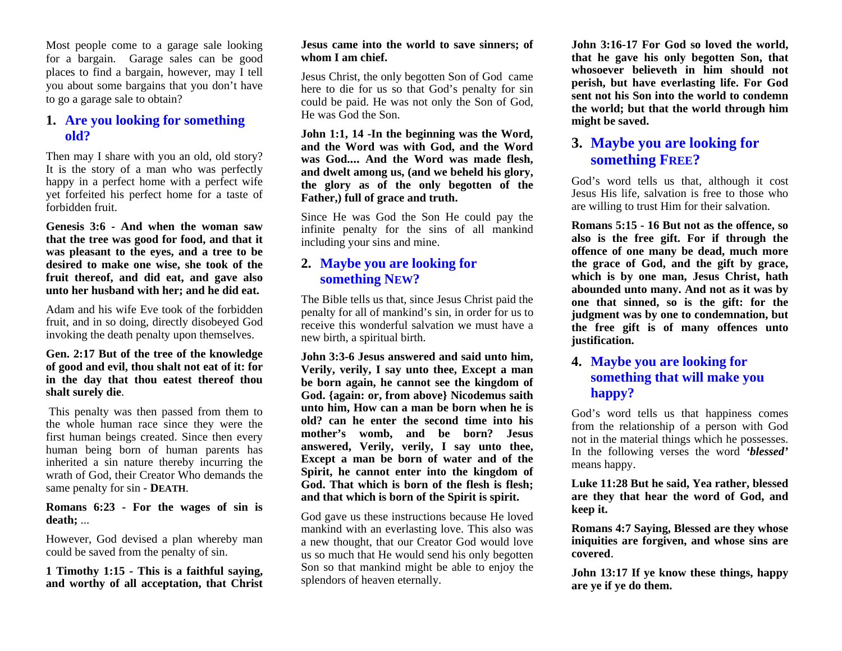Most people come to a garage sale looking for a bargain. Garage sales can be good places to find a bargain, however, may I tell you about some bargains that you don't have to go a garage sale to obtain?

## **1. Are you looking for something old?**

Then may I share with you an old, old story? It is the story of a man who was perfectly happy in a perfect home with a perfect wife yet forfeited his perfect home for a taste of forbidden fruit.

**Genesis 3:6 - And when the woman saw that the tree was good for food, and that it was pleasant to the eyes, and a tree to be desired to make one wise, she took of the fruit thereof, and did eat, and gave also unto her husband with her; and he did eat.**

Adam and his wife Eve took of the forbidden fruit, and in so doing, directly disobeyed God invoking the death penalty upon themselves.

## **Gen. 2:17 But of the tree of the knowledge of good and evil, thou shalt not eat of it: for in the day that thou eatest thereof thou shalt surely die**.

 This penalty was then passed from them to the whole human race since they were the first human beings created. Since then every human being born of human parents has inherited a sin nature thereby incurring the wrath of God, their Creator Who demands the same penalty for sin - **DEATH**.

## **Romans 6:23 - For the wages of sin is death;** ...

However, God devised a plan whereby man could be saved from the penalty of sin.

**1 Timothy 1:15 - This is a faithful saying, and worthy of all acceptation, that Christ** 

#### **Jesus came into the world to save sinners; of whom I am chief.**

Jesus Christ, the only begotten Son of God came here to die for us so that God's penalty for sin could be paid. He was not only the Son of God, He was God the Son.

**John 1:1, 14 -In the beginning was the Word, and the Word was with God, and the Word was God.... And the Word was made flesh, and dwelt among us, (and we beheld his glory, the glory as of the only begotten of the Father,) full of grace and truth.**

Since He was God the Son He could pay the infinite penalty for the sins of all mankind including your sins and mine.

# **2. Maybe you are looking for something NEW ?**

The Bible tells us that, since Jesus Christ paid the penalty for all of mankind's sin, in order for us to receive this wonderful salvation we must have a new birth, a spiritual birth.

**John 3:3-6 Jesus answered and said unto him, Verily, verily, I say unto thee, Except a man be born again, he cannot see the kingdom of God. {again: or, from above} Nicodemus saith unto him, How can a man be born when he is old? can he enter the second time into his mother's womb, and be born? Jesus answered, Verily, verily, I say unto thee, Except a man be born of water and of the Spirit, he cannot enter into the kingdom of God. That which is born of the flesh is flesh; and that which is born of the Spirit is spirit.**

God gave us these instructions because He loved mankind with an everlasting love. This also was a new thought, that our Creator God would love us so much that He would send his only begotten Son so that mankind might be able to enjoy the splendors of heaven eternally.

**John 3:16-17 For God so loved the world, that he gave his only begotten Son, that whosoever believeth in him should not perish, but have everlasting life. For God sent not his Son into the world to condemn the world; but that the world through him might be saved.** 

# **3. Maybe you are looking for something FREE ?**

God's word tells us that, although it cost Jesus His life, salvation is free to those who are willing to trust Him for their salvation.

**Romans 5:15 - 16 But not as the offence, so also is the free gift. For if through the offence of one many be dead, much more the grace of God, and the gift by grace, which is by one man, Jesus Christ, hath abounded unto many. And not as it was by one that sinned, so is the gift: for the judgment was by one to condemnation, but the free gift is of many offences unto justification.** 

# **4. Maybe you are looking for something that will make you happy?**

God's word tells us that happiness comes from the relationship of a person with God not in the material things which he possesses. In the following verses the word *'blessed'* means happy.

**Luke 11:28 But he said, Yea rather, blessed are they that hear the word of God, and keep it.**

**Romans 4:7 Saying, Blessed are they whose iniquities are forgiven, and whose sins are covered**.

**John 13:17 If ye know these things, happy are ye if ye do them.**